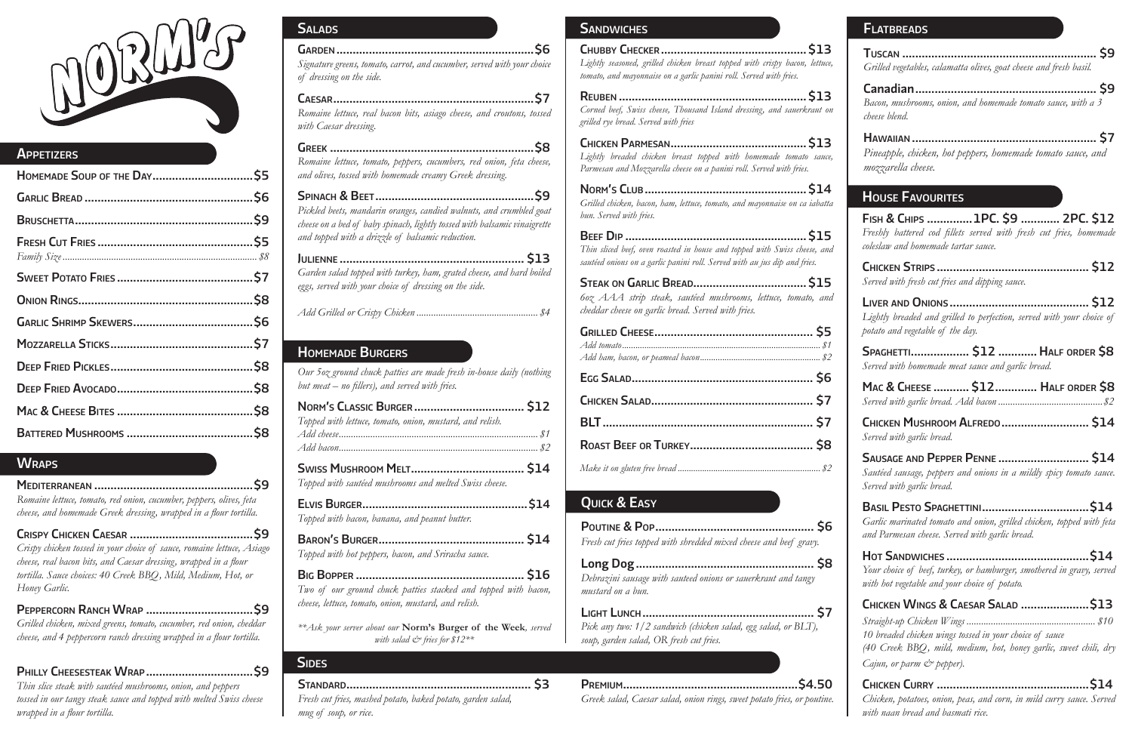

# **APPETIZERS**

# **WRAPS**

# Homemade Burgers

*Our 5oz ground chuck patties are made fresh in-house daily (nothing but meat – no fillers), and served with fries.*

| Topped with lettuce, tomato, onion, mustard, and relish. |  |
|----------------------------------------------------------|--|
|                                                          |  |
|                                                          |  |

Swiss Mushroom Melt................................... \$14 *Topped with sautéed mushrooms and melted Swiss cheese.*

| Topped with bacon, banana, and peanut butter. |  |
|-----------------------------------------------|--|

| Topped with hot peppers, bacon, and Sriracha sauce. |  |
|-----------------------------------------------------|--|

Big Bopper .................................................... \$16 *Two of our ground chuck patties stacked and topped with bacon, cheese, lettuce, tomato, onion, mustard, and relish.*

*\*\*Ask your server about our* **Norm's Burger of the Week***, served with salad & fries for \$12\*\**

# **SIDES**

| Signature greens, tomato, carrot, and cucumber, served with your choice |  |
|-------------------------------------------------------------------------|--|
| of dressing on the side.                                                |  |

Caesar..............................................................\$7 *Romaine lettuce, real bacon bits, asiago cheese, and croutons, tossed with Caesar dressing.*

Greek ...............................................................\$8 *Romaine lettuce, tomato, peppers, cucumbers, red onion, feta cheese, and olives, tossed with homemade creamy Greek dressing.*

Spinach & Beet.................................................\$9 *Pickled beets, mandarin oranges, candied walnuts, and crumbled goat cheese on a bed of baby spinach, lightly tossed with balsamic vinaigrette and topped with a drizzle of balsamic reduction.*

Julienne ......................................................... \$13 *Garden salad topped with turkey, ham, grated cheese, and hard boiled eggs, served with your choice of dressing on the side.*

*Add Grilled or Crispy Chicken .................................................. \$4* 

Mediterranean .................................................\$9 *Romaine lettuce, tomato, red onion, cucumber, peppers, olives, feta cheese, and homemade Greek dressing, wrapped in a flour tortilla.*

Crispy Chicken Caesar ......................................\$9 *Crispy chicken tossed in your choice of sauce, romaine lettuce, Asiago cheese, real bacon bits, and Caesar dressing, wrapped in a flour tortilla. Sauce choices: 40 Creek BBQ, Mild, Medium, Hot, or Honey Garlic.*

Peppercorn Ranch Wrap .................................\$9 *Grilled chicken, mixed greens, tomato, cucumber, red onion, cheddar cheese, and 4 peppercorn ranch dressing wrapped in a flour tortilla.* 

|  |  |  |  | $\mathcal{L} \mathbf{L} \mathbf{L} \cdot \mathbf{L} \cdot \mathbf{L} \cdot \mathbf{L} \cdot \mathbf{L} \cdot \mathbf{L} \cdot \mathbf{L} \cdot \mathbf{L} \cdot \mathbf{L} \cdot \mathbf{L} \cdot \mathbf{L} \cdot \mathbf{L} \cdot \mathbf{L} \cdot \mathbf{L} \cdot \mathbf{L} \cdot \mathbf{L} \cdot \mathbf{L} \cdot \mathbf{L} \cdot \mathbf{L} \cdot \mathbf{L} \cdot \mathbf{L} \cdot \mathbf{L} \cdot \mathbf{L} \cdot \mathbf{L} \cdot \mathbf{L} \cdot \mathbf{L} \cdot$ |  |  |
|--|--|--|--|------------------------------------------------------------------------------------------------------------------------------------------------------------------------------------------------------------------------------------------------------------------------------------------------------------------------------------------------------------------------------------------------------------------------------------------------------------------------------------|--|--|

*Straight-up Chicken Wings ..................................................... \$10 10 breaded chicken wings tossed in your choice of sauce (40 Creek BBQ, mild, medium, hot, honey garlic, sweet chili, dry Cajun, or parm*  $\breve{c}$  *pepper).* 

*Thin slice steak with sautéed mushrooms, onion, and peppers tossed in our tangy steak sauce and topped with melted Swiss cheese wrapped in a flour tortilla.* 

# **SALADS**

# Sandwiches

| Lightly seasoned, grilled chicken breast topped with crispy bacon, lettuce,<br>tomato, and mayonnaise on a garlic panini roll. Served with fries.      |
|--------------------------------------------------------------------------------------------------------------------------------------------------------|
| Corned beef, Swiss cheese, Thousand Island dressing, and sauerkraut on<br>grilled rye bread. Served with fries                                         |
| Lightly breaded chicken breast topped with homemade tomato sauce,<br>Parmesan and Mozzarella cheese on a panini roll. Served with fries.               |
| Grilled chicken, bacon, ham, lettuce, tomato, and mayonnaise on ca iabatta<br>bun. Served with fries.                                                  |
|                                                                                                                                                        |
| Thin sliced beef, oven roasted in house and topped with Swiss cheese, and<br>sautéed onions on a garlic panini roll. Served with au jus dip and fries. |
| 60z AAA strip steak, sautéed mushrooms, lettuce, tomato, and<br>cheddar cheese on garlic bread. Served with fries.                                     |
|                                                                                                                                                        |
|                                                                                                                                                        |
|                                                                                                                                                        |
|                                                                                                                                                        |
|                                                                                                                                                        |
|                                                                                                                                                        |
| <b>QUICK &amp; EASY</b>                                                                                                                                |
| Fresh cut fries topped with shredded mixed cheese and beef gravy.                                                                                      |
| . S8<br>Debrazini sausage with sauteed onions or sauerkraut and tangy<br>mustard on a bun.                                                             |
| Pick any two: 1/2 sandwich (chicken salad, egg salad, or BLT),<br>soup, garden salad, OR fresh cut fries.                                              |

Fish & Chips ..............1PC. \$9 ............ 2PC. \$12 *Freshly battered cod fillets served with fresh cut fries, homemade coleslaw and homemade tartar sauce.*

Chicken Strips ............................................... \$12 *Served with fresh cut fries and dipping sauce.*

Liver and Onions ........................................... \$12 *Lightly breaded and grilled to perfection, served with your choice of potato and vegetable of the day.*

Spaghetti.................. \$12 ............Half order \$8 *Served with homemade meat sauce and garlic bread.*

|  | MAC & CHEESE  \$12 HALF ORDER \$8 |
|--|-----------------------------------|
|  |                                   |

Chicken Mushroom Alfredo........................... \$14 *Served with garlic bread.* 

Sausage and Pepper Penne ............................ \$14 *Sautéed sausage, peppers and onions in a mildly spicy tomato sauce. Served with garlic bread.* 

Basil Pesto Spaghettini.................................\$14 *Garlic marinated tomato and onion, grilled chicken, topped with feta and Parmesan cheese. Served with garlic bread.* 

Hot Sandwiches ............................................\$14 *Your choice of beef, turkey, or hamburger, smothered in gravy, served with hot vegetable and your choice of potato.*

# Chicken Wings & Caesar Salad .....................\$13

Chicken Curry ...............................................\$14 *Chicken, potatoes, onion, peas, and corn, in mild curry sauce. Served with naan bread and basmati rice.*

Tuscan ............................................................ \$9 *Grilled vegetables, calamatta olives, goat cheese and fresh basil.*

Canadian........................................................ \$9 *Bacon, mushrooms, onion, and homemade tomato sauce, with a 3 cheese blend.*

Hawaiian ......................................................... \$7 *Pineapple, chicken, hot peppers, homemade tomato sauce, and mozzarella cheese.*

# **HOUSE FAVOURITES**

Standard......................................................... \$3 *Fresh cut fries, mashed potato, baked potato, garden salad, mug of soup, or rice.* 

Premium......................................................\$4.50 *Greek salad, Caesar salad, onion rings, sweet potato fries, or poutine.*

### **FLATBREADS**